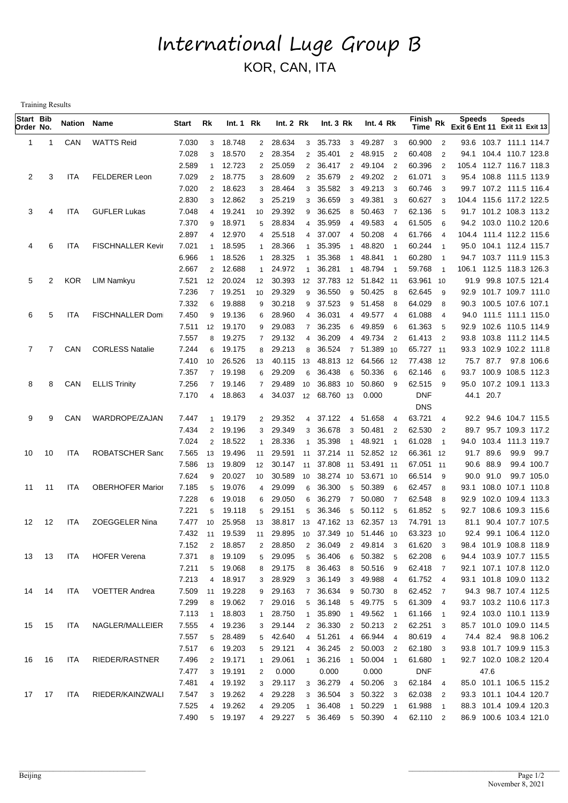## International Luge Group B KOR, CAN, ITA

Training Results

| Start Bib<br>Order No. |       | Nation Name |                         | Start | Rk             | Int.1 Rk  |                | Int.2 Rk  |                | Int.3 Rk                      | Int. $4 Rk$                          |                         | Finish Rk<br>Time |                          | <b>Speeds</b><br>Exit 6 Ent 11 Exit 11 Exit 13 | <b>Speeds</b>           |  |
|------------------------|-------|-------------|-------------------------|-------|----------------|-----------|----------------|-----------|----------------|-------------------------------|--------------------------------------|-------------------------|-------------------|--------------------------|------------------------------------------------|-------------------------|--|
| 1                      | -1    | CAN         | <b>WATTS Reid</b>       | 7.030 | 3              | 18.748    |                | 2 28.634  | 3              | 35.733<br>$\mathbf{3}$        | 49.287                               | $\overline{\mathbf{3}}$ | 60.900            | $\overline{2}$           |                                                | 93.6 103.7 111.1 114.7  |  |
|                        |       |             |                         | 7.028 | 3              | 18.570    | $\overline{2}$ | 28.354    | 2              | 35.401<br>$\overline{2}$      | 48.915                               | $\overline{2}$          | 60.408            | $\overline{2}$           |                                                | 94.1 104.4 110.7 123.8  |  |
|                        |       |             |                         | 2.589 | 1              | 12.723    | $\overline{2}$ | 25.059    | $\overline{2}$ | 36.417<br>$\overline{2}$      | 49.104                               | $\overline{2}$          | 60.396            | $\overline{2}$           | 105.4 112.7 116.7 118.3                        |                         |  |
| 2                      | 3     | <b>ITA</b>  | <b>FELDERER Leon</b>    | 7.029 | $\overline{2}$ | 18.775    | 3              | 28.609    | 2              | 35.679<br>$\overline{2}$      | 49.202                               | $\overline{2}$          | 61.071            | 3                        |                                                | 95.4 108.8 111.5 113.9  |  |
|                        |       |             |                         | 7.020 | $\overline{2}$ | 18.623    | 3              | 28.464    | 3              | 35.582<br>3                   | 49.213                               | $\overline{\mathbf{3}}$ | 60.746            | 3                        |                                                | 99.7 107.2 111.5 116.4  |  |
|                        |       |             |                         | 2.830 | 3              | 12.862    | 3              | 25.219    | 3              | 36.659<br>3                   | 49.381                               | 3                       | 60.627            | 3                        | 104.4 115.6 117.2 122.5                        |                         |  |
| 3                      | 4     | ITA         | <b>GUFLER Lukas</b>     | 7.048 | 4              | 19.241    | 10             | 29.392    | 9              | 36.625<br>8                   | 50.463                               | $\overline{7}$          | 62.136            | 5                        |                                                | 91.7 101.2 108.3 113.2  |  |
|                        |       |             |                         | 7.370 | 9              | 18.971    | 5              | 28.834    | 4              | 35.959<br>4                   | 49.583                               | $\overline{4}$          | 61.505            | 6                        |                                                | 94.2 103.0 110.2 120.6  |  |
|                        |       |             |                         | 2.897 | 4              | 12.970    | 4              | 25.518    | 4              | 37.007<br>$\overline{4}$      | 50.208                               | $\overline{4}$          | 61.766            | $\overline{4}$           |                                                | 104.4 111.4 112.2 115.6 |  |
| 4                      | 6     | <b>ITA</b>  | FISCHNALLER Kevir       | 7.021 | 1              | 18.595    | 1              | 28.366    |                | 35.395<br>-1                  | 48.820                               |                         | 60.244            | $\overline{1}$           |                                                | 95.0 104.1 112.4 115.7  |  |
|                        |       |             |                         | 6.966 | $\mathbf{1}$   | 18.526    | 1              | 28.325    | $\overline{1}$ | 35.368<br>-1                  | 48.841                               | $\overline{\mathbf{1}}$ | 60.280            | $\overline{1}$           |                                                | 94.7 103.7 111.9 115.3  |  |
|                        |       |             |                         | 2.667 | $\overline{2}$ | 12.688    | 1              | 24.972    | $\overline{1}$ | 36.281<br>$\overline{1}$      | 48.794                               | $\overline{1}$          | 59.768            | $\overline{1}$           | 106.1 112.5 118.3 126.3                        |                         |  |
| 5                      | 2     | <b>KOR</b>  | LIM Namkyu              | 7.521 | 12             | 20.024    | 12             | 30.393    | 12             | 37.783 12 51.842 11           |                                      |                         | 63.961 10         |                          |                                                | 91.9 99.8 107.5 121.4   |  |
|                        |       |             |                         | 7.236 | $\overline{7}$ | 19.251    | 10             | 29.329    | 9              | 36.550<br>9                   | 50.425                               | - 8                     | 62.645            | 9                        |                                                | 92.9 101.7 109.7 111.0  |  |
|                        |       |             |                         | 7.332 | 6              | 19.888    | 9              | 30.218    | 9              | 37.523<br>9                   | 51.458                               | - 8                     | 64.029            | 8                        |                                                | 90.3 100.5 107.6 107.1  |  |
| 6                      | 5     | <b>ITA</b>  | <b>FISCHNALLER Dom</b>  | 7.450 | 9              | 19.136    | 6              | 28.960    | 4              | 36.031<br>$\overline{4}$      | 49.577                               | -4                      | 61.088            | $\overline{4}$           |                                                | 94.0 111.5 111.1 115.0  |  |
|                        |       |             |                         | 7.511 | 12             | 19.170    | 9              | 29.083    | $\overline{7}$ | 36.235<br>6                   | 49.859                               | 6                       | 61.363            | 5                        |                                                | 92.9 102.6 110.5 114.9  |  |
|                        |       |             |                         | 7.557 | 8              | 19.275    | $7^{\circ}$    | 29.132    | $\overline{4}$ | 36.209<br>4                   | 49.734 2                             |                         | 61.413            | $\overline{2}$           |                                                | 93.8 103.8 111.2 114.5  |  |
| 7                      |       | CAN         | <b>CORLESS Natalie</b>  | 7.244 | 6              | 19.175    | 8              | 29.213    | 8              | 36.524<br>$\overline{7}$      | 51.389 10                            |                         | 65.727 11         |                          |                                                | 93.3 102.9 102.2 111.8  |  |
|                        |       |             |                         | 7.410 | 10             | 26.526    | 13             | 40.115    | 13             | 48.813 12 64.566 12           |                                      |                         | 77.438 12         |                          | 75.7 87.7                                      | 97.8 106.6              |  |
|                        |       |             |                         | 7.357 | $\overline{7}$ | 19.198    | 6              | 29.209    | 6              | 36.438<br>6                   | 50.336                               | - 6                     | 62.146            | 6                        |                                                | 93.7 100.9 108.5 112.3  |  |
| 8                      | 8     | CAN         | <b>ELLIS Trinity</b>    | 7.256 | $\overline{7}$ | 19.146    | $\overline{7}$ | 29.489    | 10             | 36.883 10                     | 50.860                               | - 9                     | 62.515            | 9                        |                                                | 95.0 107.2 109.1 113.3  |  |
|                        |       |             |                         | 7.170 |                | 4 18.863  | $\overline{4}$ | 34.037 12 |                | 68.760 13                     | 0.000                                |                         | <b>DNF</b>        |                          | 44.1 20.7                                      |                         |  |
|                        |       |             |                         |       |                |           |                |           |                |                               |                                      |                         | <b>DNS</b>        |                          |                                                |                         |  |
| 9                      | 9     | CAN         | WARDROPE/ZAJAN          | 7.447 |                | 19.179    |                | 2 29.352  | $\overline{4}$ | 37.122<br>$\overline{4}$      | 51.658                               | $\overline{4}$          | 63.721            | $\overline{4}$           |                                                | 92.2 94.6 104.7 115.5   |  |
|                        |       |             |                         | 7.434 | $\overline{2}$ | 19.196    | 3              | 29.349    | 3              | 36.678<br>3                   | 50.481<br>$\overline{\phantom{0}}^2$ |                         | 62.530            | $\overline{2}$           |                                                | 89.7 95.7 109.3 117.2   |  |
|                        |       |             |                         | 7.024 | $\overline{2}$ | 18.522    | $\mathbf{1}$   | 28.336    | $\mathbf{1}$   | 35.398<br>$\overline{1}$      | 48.921                               |                         | 61.028            | $\overline{1}$           |                                                | 94.0 103.4 111.3 119.7  |  |
| 10                     | 10    | ITA         | ROBATSCHER Sand         | 7.565 | 13             | 19.496    | 11             | 29.591    | 11             | 37.214 11                     | 52.852 12                            |                         | 66.361 12         |                          | 91.7 89.6                                      | 99.9 99.7               |  |
|                        |       |             |                         | 7.586 | 13             | 19.809    | 12             | 30.147    | 11             | 37.808 11                     | 53.491 11                            |                         | 67.051 11         |                          | 90.6 88.9                                      | 99.4 100.7              |  |
|                        |       |             |                         | 7.624 | 9              | 20.027    | 10             | 30.589    | 10             | 38.274 10                     | 53.671 10                            |                         | 66.514            | - 9                      | 90.0 91.0                                      | 99.7 105.0              |  |
| 11                     | 11    | ITA         | <b>OBERHOFER Marior</b> | 7.185 | 5              | 19.076    | $\overline{4}$ | 29.099    | 6              | 36.300<br>5                   | 50.389                               | - 6                     | 62.457            | 8                        |                                                | 93.1 108.0 107.1 110.8  |  |
|                        |       |             |                         | 7.228 | 6              | 19.018    | 6              | 29.050    | 6              | 36.279<br>$\overline{7}$      | 50.080                               | $\overline{7}$          | 62.548            | 8                        | 92.9                                           | 102.0 109.4 113.3       |  |
|                        |       |             |                         | 7.221 | 5              | 19.118    | 5              | 29.151    | 5              | 36.346<br>5                   | 50.112 5                             |                         | 61.852            | 5                        |                                                | 92.7 108.6 109.3 115.6  |  |
| 12                     | 12    | <b>ITA</b>  | <b>ZOEGGELER Nina</b>   | 7.477 | 10             | 25.958    | 13             | 38.817    | 13             | 47.162 13                     | 62.357 13                            |                         | 74.791 13         |                          |                                                | 81.1 90.4 107.7 107.5   |  |
|                        |       |             |                         | 7.432 |                | 11 19.539 | 11             |           |                | 29.895 10 37.349 10 51.446 10 |                                      |                         | 63.323 10         |                          |                                                | 92.4 99.1 106.4 112.0   |  |
|                        |       |             |                         | 7.152 | $2^{\circ}$    | 18.857    | $\overline{2}$ | 28.850    | $\overline{2}$ | 36.049                        | 2 49.814 3                           |                         | 61.620            | 3                        |                                                | 98.4 101.9 108.8 118.9  |  |
|                        | 13 13 | ITA         | <b>HOFER Verena</b>     | 7.371 | 8              | 19.109    | 5              | 29.095    |                | 5 36.406                      | 6 50.382 5                           |                         | 62.208            | 6                        |                                                | 94.4 103.9 107.7 115.5  |  |
|                        |       |             |                         | 7.211 |                | 5 19.068  | 8              | 29.175    |                | 8 36.463                      | 8 50.516 9                           |                         | 62.418 7          |                          |                                                | 92.1 107.1 107.8 112.0  |  |
|                        |       |             |                         | 7.213 |                | 4 18.917  | 3 <sup>1</sup> | 28.929    |                | 3 36.149                      | 3 49.988 4                           |                         | 61.752 4          |                          |                                                | 93.1 101.8 109.0 113.2  |  |
| 14                     | 14    | ITA         | <b>VOETTER Andrea</b>   | 7.509 |                | 11 19.228 | 9              | 29.163    | $7^{\circ}$    | 36.634                        | 9 50.730 8                           |                         | 62.452 7          |                          |                                                | 94.3 98.7 107.4 112.5   |  |
|                        |       |             |                         | 7.299 |                | 8 19.062  | 7 <sup>7</sup> | 29.016    | 5 <sup>5</sup> | 36.148                        | 5 49.775 5                           |                         | 61.309            | $\overline{4}$           |                                                | 93.7 103.2 110.6 117.3  |  |
|                        |       |             |                         | 7.113 | $\mathbf{1}$   | 18.803    | 1              | 28.750    | $\mathbf{1}$   | 35.890<br>$\overline{1}$      | 49.562 1                             |                         | 61.166            | $\overline{\phantom{1}}$ |                                                | 92.4 103.0 110.1 113.9  |  |
| 15                     | 15    | ITA         | NAGLER/MALLEIER         | 7.555 |                | 4 19.236  |                | 3 29.144  |                | 2 36.330                      | 2 50.213 2                           |                         | 62.251            | 3                        |                                                | 85.7 101.0 109.0 114.5  |  |
|                        |       |             |                         | 7.557 |                | 5 28.489  | 5              | 42.640    | $\overline{4}$ | 51.261                        | 4 66.944 4                           |                         | 80.619            | $\overline{4}$           |                                                | 74.4 82.4 98.8 106.2    |  |
|                        |       |             |                         | 7.517 |                | 6 19.203  |                | 5 29.121  | $\overline{4}$ | 36.245                        | 2 50.003 2                           |                         | 62.180            | 3                        |                                                | 93.8 101.7 109.9 115.3  |  |
| 16                     | 16    | ITA         | RIEDER/RASTNER          | 7.496 | $\overline{2}$ | 19.171    | 1              | 29.061    | $\mathbf{1}$   | 36.216<br>-1                  | 50.004 1                             |                         | 61.680            |                          |                                                | 92.7 102.0 108.2 120.4  |  |
|                        |       |             |                         | 7.477 |                | 3 19.191  | $\overline{2}$ | 0.000     |                | 0.000                         | 0.000                                |                         | <b>DNF</b>        |                          | 47.6                                           |                         |  |
|                        |       |             |                         | 7.481 |                | 4 19.192  | 3 <sup>7</sup> | 29.117    | 3              | 36.279                        | 4 50.206 3                           |                         | 62.184            | $\overline{4}$           |                                                | 85.0 101.1 106.5 115.2  |  |
| 17                     | 17    | ITA         | RIEDER/KAINZWALI        | 7.547 | 3              | 19.262    | 4              | 29.228    | 3              | 36.504                        | 3 50.322 3                           |                         | 62.038            | $\overline{2}$           |                                                | 93.3 101.1 104.4 120.7  |  |
|                        |       |             |                         | 7.525 | 4              | 19.262    |                | 4 29.205  | $\mathbf{1}$   | 36.408<br>$\mathbf{1}$        | 50.229<br>$\overline{\phantom{1}}$   |                         | 61.988            | $\overline{1}$           |                                                | 88.3 101.4 109.4 120.3  |  |
|                        |       |             |                         | 7.490 |                | 5 19.197  |                | 4 29.227  |                | 5 36.469                      | 5 50.390 4                           |                         | 62.110            | $\overline{2}$           |                                                | 86.9 100.6 103.4 121.0  |  |
|                        |       |             |                         |       |                |           |                |           |                |                               |                                      |                         |                   |                          |                                                |                         |  |